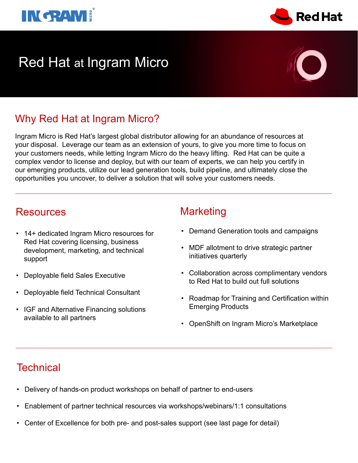

# Red Hat at Ingram Micro

# Why Red Hat at Ingram Micro?

Ingram Micro is Red Hat's largest global distributor allowing for an abundance of resources at your disposal. Leverage our team as an extension of yours, to give you more time to focus on your customers needs, while letting Ingram Micro do the heavy lifting. Red Hat can be quite a complex vendor to license and deploy, but with our team of experts, we can help you certify in our emerging products, utilize our lead generation tools, build pipeline, and ultimately close the opportunities you uncover, to deliver a solution that will solve your customers needs.

# Resources Marketing

- 14+ dedicated Ingram Micro resources for Red Hat covering licensing, business development, marketing, and technical support
- Deployable field Sales Executive
- Deployable field Technical Consultant
- IGF and Alternative Financing solutions available to all partners

- Demand Generation tools and campaigns
- MDF allotment to drive strategic partner initiatives quarterly
- Collaboration across complimentary vendors to Red Hat to build out full solutions
- Roadmap for Training and Certification within Emerging Products
- OpenShift on Ingram Micro's Marketplace

# **Technical**

- Delivery of hands-on product workshops on behalf of partner to end-users
- Enablement of partner technical resources via workshops/webinars/1:1 consultations
- Center of Excellence for both pre- and post-sales support (see last page for detail)



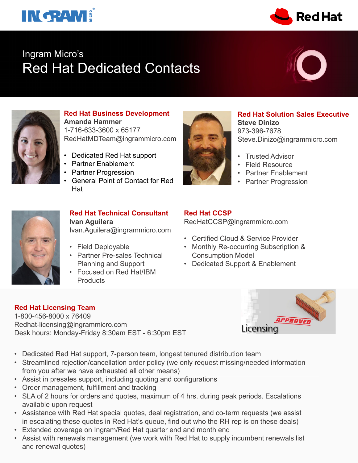# **INGRAM!**



# Ingram Micro's Red Hat Dedicated Contacts





### **Red Hat Business Development Amanda Hammer**  1-716-633-3600 x 65177 RedHatMDTeam@ingrammicro.com

- Dedicated Red Hat support
- Partner Enablement
- Partner Progression
- General Point of Contact for Red Hat



- **Red Hat Solution Sales Executive Steve Dinizo**  973-396-7678 Steve.Dinizo@ingrammicro.com
- Trusted Advisor
- Field Resource
- Partner Enablement
- Partner Progression



### **Red Hat Technical Consultant Ivan Aguilera**

Ivan.Aguilera@ingrammicro.com

- Field Deployable
- Partner Pre-sales Technical Planning and Support
- Focused on Red Hat/IBM **Products**

### **Red Hat CCSP**

RedHatCCSP@ingrammicro.com

- Certified Cloud & Service Provider
- Monthly Re-occurring Subscription & Consumption Model
- Dedicated Support & Enablement

### **Red Hat Licensing Team**

1-800-456-8000 x 76409 Redhat-licensing@ingrammicro.com Desk hours: Monday-Friday 8:30am EST - 6:30pm EST



- Dedicated Red Hat support, 7-person team, longest tenured distribution team
- Streamlined rejection/cancellation order policy (we only request missing/needed information from you after we have exhausted all other means)
- Assist in presales support, including quoting and configurations
- Order management, fulfillment and tracking
- SLA of 2 hours for orders and quotes, maximum of 4 hrs. during peak periods. Escalations available upon request
- Assistance with Red Hat special quotes, deal registration, and co-term requests (we assist in escalating these quotes in Red Hat's queue, find out who the RH rep is on these deals)
- Extended coverage on Ingram/Red Hat quarter end and month end
- Assist with renewals management (we work with Red Hat to supply incumbent renewals list and renewal quotes)